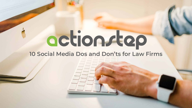# octionstep **10 Social Media Dos and Don'ts for Law Firms**

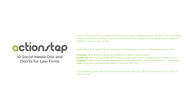Social media such an LinkedIn and Twitter provide a great platform for law firms, individual lawyers and other professionals to build their profile & position their expertise in a specific industry, topic or area of law.

Keep these four goals top of mind as you develop your social media approach & skills.

**Purpose:** Why are you using this platform? Have a clear purpose **Audience:** Who are you talking to? Say something of value to people that matter to you **Engage:** Extend your relationships online and spark new ones by being active, not passive **Care:** Keep your professional goals in mind at all times

 As a simple guide, these 10 dos and don'ts will help you get the most from your time on social media.

# actionstap

### **10 Social Media Dos and Don'ts for Law Firms**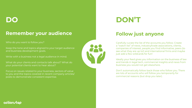## **DO DON'T**

### **Remember your audience**

Who do you want to follow you?

Keep the tone and topics aligned to your target audience and business development goals.

Write with a business not a legal audience in mind.

What do your clients and contacts talk about? What do your potential clients want to hear about?

Focus on issues related to your business, sectors of value to you and the topics covered in recent company articles/ posts to demonstrate consistent expertise.

### actionstep

## **Follow just anyone**



Carefully curate the list of the accounts you follow. Create a "watch list" of news, industry/trade associations, clients, companies of interest, people you find informative, peers (to see what they are up to!) and international firms and maybe just add a few wildcards for fun!

Ideally your feed gives you information on the business of law and trends in legal tech, commercial insights and news from business you would not get elsewhere.

Don't automatically follow back those who follow you. There are lots of accounts who will follow you temporarily for commercial reasons (but drop you later).



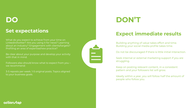### **Set expectations**

What do you expect to achieve from your time on Linkedin/twitter? Are you using it for news? Learning about an industry? Engagement with clients/targets? Profiling an area of expertise/new practice?

Followers also should know what to expect from you we recommend:

Be clear about your purpose and develop your activity with that in mind.

3-5 reposts per week. 1-5 original posts. Topics aligned to your business goals.



## **Expect immediate results**

Building anything of value takes effort and time. Building your social media profile takes time.

Do not be discouraged if there is little initial interaction.

Seek internal or external marketing support if you are struggling.

Keep on posting relevant content, in a consistent pattern and your followers list will grow.

Ideally within a year, you will follow half the amount of people who follow you.

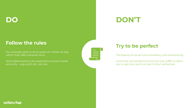## **Follow the rules**

For example, stick to short posts on Twitter to stay within their 280 character limit.

Word abbreviations are expected on social media accounts - orgs, prof., b/c, w/o, etc.



## **Try to be perfect**

The beauty of social is its immediacy and authenticity.

Grammar and sentence structure may suffer to allow you to get your point across in short sentences.



## **DO DON'T**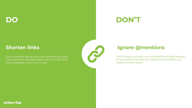## **Shorten links**

Save character space and track link activity using link shorteners like Bitly (paste your link into bitly and it provides a short url to use).

actionstap

## **Ignore @mentions**

Don't forget to check your notifications for @mentions on your social handles and replies to comments you made on other posts.

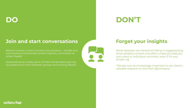## **Join and start conversations**

Balance owned content (content you produce – articles and commentary) and shared content (reposts, comments on others' feeds).

Seasoned social media users will feel comfortable opening up questions to their followers, groups and inviting debate.



actionstep

## **Forget your insights**

Serial reposters are viewed as hiding or piggybacking other people's content and effort unless you add you own views or individual comment, even if it's very simple. eg:

"We see xxxx as increasingly important to xxx clients – valuable research on this from @company"

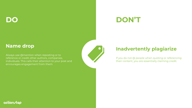### **Name drop**

Always use @mention when reposting or to reference or credit other authors, companies, individuals. This calls their attention to your post and encourages engagement from them.



If you do not @ people when quoting or referencing their content, you are essentially claiming credit.



## **Inadvertently plagiarize**

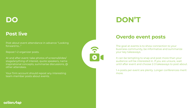## **Post live**

Post about event attendance in advance "Looking forward to…"

Repost 1-2 organizer posts.

At and after event: take photos of screens/slides/ stage/anything of interest, quote speakers, name inspirational concepts, summarise discussions, @ other attendees.

Your firm account should repost any interesting team-member posts about events.



It can be tempting to snap and post more than your audience will be interested in. If you are unsure, wait until after event and choose 2-3 takeaways to post about.

### **Overdo event posts**

The goal at events is to show connection to your business community, be informative and summarize your key takeaways.

1-4 posts per event are plenty. Longer conferences merit more.

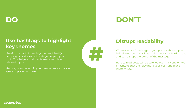## **Use hashtags to highlight key themes**

Use # to be part of trending themes, identify campaigns or stories or to categorise your post topic. This helps social media users search for relevant topics.

Hashtags can be within your post sentence to save space or placed at the end.



When you use #hashtags in your posts it shows up as linked text. Too many links make messages hard to read and can disrupt the power of the message.

## **Disrupt readability**

Hard to read posts will be scrolled over. Pick one or two #hashtags that are relevant to your post, and place them wisely.



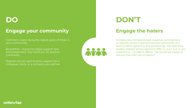### **Engage your community**

Comment, share, favourite, repost posts of those in your community.

Be positive – everyone enjoys support and encouragement. Say thank you for positive comments.

Reposts can be used to show support for a colleague, client, or a company you admire.





## **Engage the haters**

Occasionally companies get negative commentary on specific posts or general service comments. It is best to either ignore or stay positive eg: "we welcome healthy debate where opinions differ to ours, but in our experience…" or take it offline: "we would be happy to discuss this with you in person"